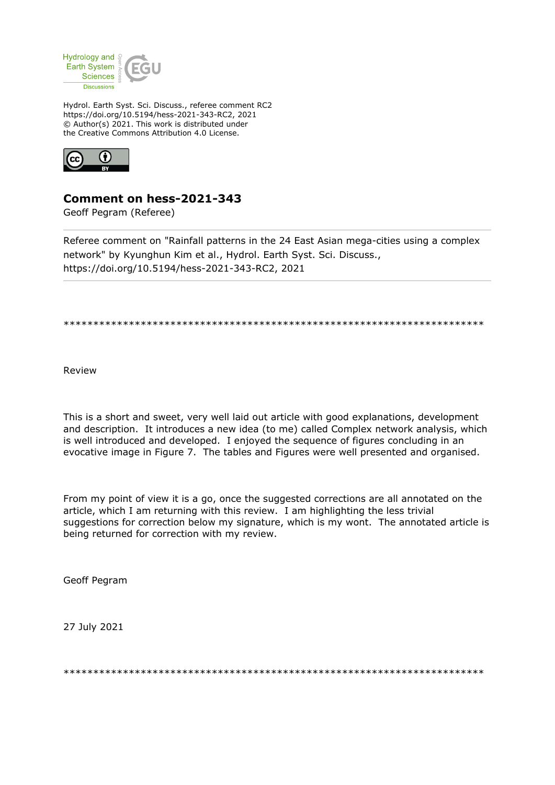

Hydrol. Earth Syst. Sci. Discuss., referee comment RC2 https://doi.org/10.5194/hess-2021-343-RC2, 2021 © Author(s) 2021. This work is distributed under the Creative Commons Attribution 4.0 License.



## Comment on hess-2021-343

Geoff Pegram (Referee)

Referee comment on "Rainfall patterns in the 24 East Asian mega-cities using a complex network" by Kyunghun Kim et al., Hydrol. Earth Syst. Sci. Discuss., https://doi.org/10.5194/hess-2021-343-RC2, 2021

Review

This is a short and sweet, very well laid out article with good explanations, development and description. It introduces a new idea (to me) called Complex network analysis, which is well introduced and developed. I enjoyed the sequence of figures concluding in an evocative image in Figure 7. The tables and Figures were well presented and organised.

From my point of view it is a go, once the suggested corrections are all annotated on the article, which I am returning with this review. I am highlighting the less trivial suggestions for correction below my signature, which is my wont. The annotated article is being returned for correction with my review.

**Geoff Pearam** 

27 July 2021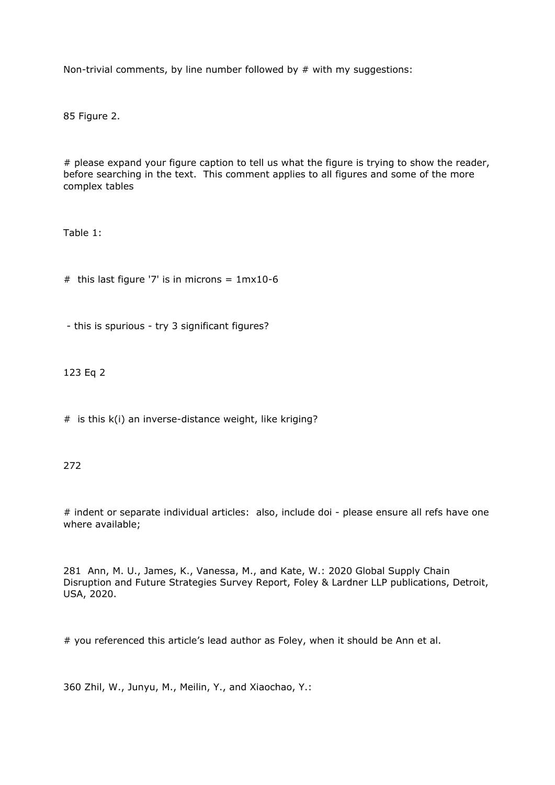Non-trivial comments, by line number followed by  $#$  with my suggestions:

85 Figure 2.

# please expand your figure caption to tell us what the figure is trying to show the reader, before searching in the text. This comment applies to all figures and some of the more complex tables

Table 1:

# this last figure '7' is in microns =  $1mx10-6$ 

- this is spurious - try 3 significant figures?

123 Eq 2

# is this k(i) an inverse-distance weight, like kriging?

272

# indent or separate individual articles: also, include doi - please ensure all refs have one where available;

281 Ann, M. U., James, K., Vanessa, M., and Kate, W.: 2020 Global Supply Chain Disruption and Future Strategies Survey Report, Foley & Lardner LLP publications, Detroit, USA, 2020.

# you referenced this article's lead author as Foley, when it should be Ann et al.

360 Zhil, W., Junyu, M., Meilin, Y., and Xiaochao, Y.: